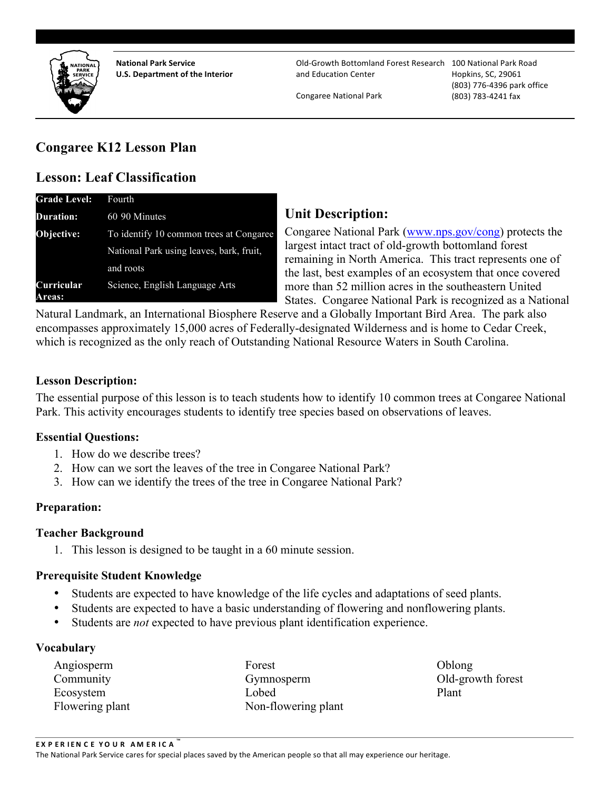

**National Park Service** 

**U.S. Department of the Interior and Education Center Hopkins, SC, 29061 National Park Service National Park Service Cold-Growth Bottomland Forest Research** 100 National Park Road and Education Center

Congaree National Park (803) 783-4241 fax

**Hopkins, SC, 29061** (803) 776-4396 park office

# **Congaree K12 Lesson Plan**

# **Lesson: Leaf Classification**

| <b>Grade Level:</b>                | Fourth                                   |  |  |
|------------------------------------|------------------------------------------|--|--|
| <b>Duration:</b>                   | 60 90 Minutes                            |  |  |
| Objective:                         | To identify 10 common trees at Congaree  |  |  |
|                                    | National Park using leaves, bark, fruit, |  |  |
|                                    | and roots                                |  |  |
| <b>Curricular</b><br><b>Areas:</b> | Science, English Language Arts           |  |  |

# **Unit Description:**

Congaree National Park (www.nps.gov/cong) protects the largest intact tract of old-growth bottomland forest remaining in North America. This tract represents one of the last, best examples of an ecosystem that once covered more than 52 million acres in the southeastern United States. Congaree National Park is recognized as a National

Natural Landmark, an International Biosphere Reserve and a Globally Important Bird Area. The park also encompasses approximately 15,000 acres of Federally-designated Wilderness and is home to Cedar Creek, which is recognized as the only reach of Outstanding National Resource Waters in South Carolina.

#### **Lesson Description:**

The essential purpose of this lesson is to teach students how to identify 10 common trees at Congaree National Park. This activity encourages students to identify tree species based on observations of leaves.

#### **Essential Questions:**

- 1. How do we describe trees?
- 2. How can we sort the leaves of the tree in Congaree National Park?
- 3. How can we identify the trees of the tree in Congaree National Park?

#### **Preparation:**

#### **Teacher Background**

1. This lesson is designed to be taught in a 60 minute session.

#### **Prerequisite Student Knowledge**

- Students are expected to have knowledge of the life cycles and adaptations of seed plants.
- Students are expected to have a basic understanding of flowering and nonflowering plants.
- Students are *not* expected to have previous plant identification experience.

#### **Vocabulary**

Angiosperm Forest Forest Oblong Community Gymnosperm Old-growth forest Ecosystem Lobed Plant Flowering plant Non-flowering plant

The National Park Service cares for special places saved by the American people so that all may experience our heritage.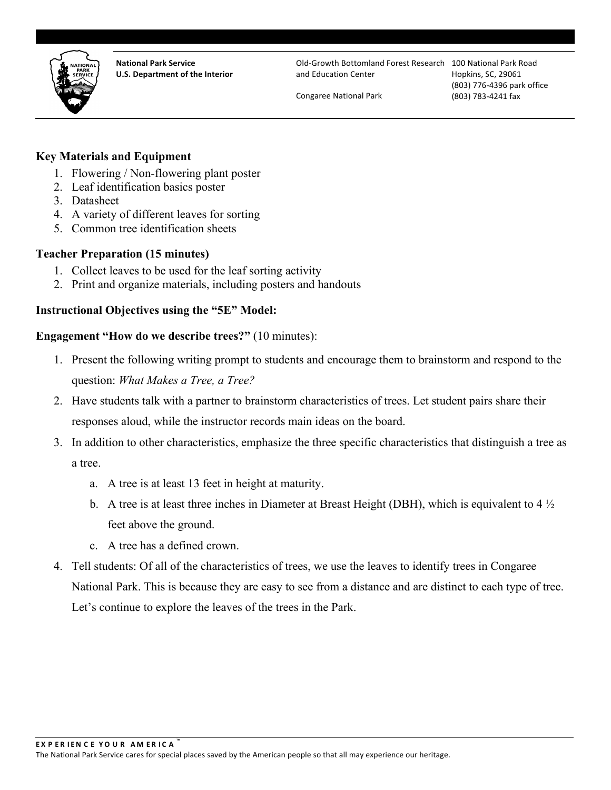

**National Park Service** 

**U.S. Department of the Interior and Education Center Hopkins, SC, 29061 National Park Service National Park Service Cold-Growth Bottomland Forest Research** 100 National Park Road and Education Center

Congaree National Park (803) 783-4241 fax

**Hopkins, SC, 29061** (803) 776-4396 park office

# **Key Materials and Equipment**

- 1. Flowering / Non-flowering plant poster
- 2. Leaf identification basics poster
- 3. Datasheet
- 4. A variety of different leaves for sorting
- 5. Common tree identification sheets

#### **Teacher Preparation (15 minutes)**

- 1. Collect leaves to be used for the leaf sorting activity
- 2. Print and organize materials, including posters and handouts

#### **Instructional Objectives using the "5E" Model:**

#### **Engagement "How do we describe trees?"** (10 minutes):

- 1. Present the following writing prompt to students and encourage them to brainstorm and respond to the question: *What Makes a Tree, a Tree?*
- 2. Have students talk with a partner to brainstorm characteristics of trees. Let student pairs share their responses aloud, while the instructor records main ideas on the board.
- 3. In addition to other characteristics, emphasize the three specific characteristics that distinguish a tree as a tree.
	- a. A tree is at least 13 feet in height at maturity.
	- b. A tree is at least three inches in Diameter at Breast Height (DBH), which is equivalent to 4 ½ feet above the ground.
	- c. A tree has a defined crown.
- 4. Tell students: Of all of the characteristics of trees, we use the leaves to identify trees in Congaree National Park. This is because they are easy to see from a distance and are distinct to each type of tree. Let's continue to explore the leaves of the trees in the Park.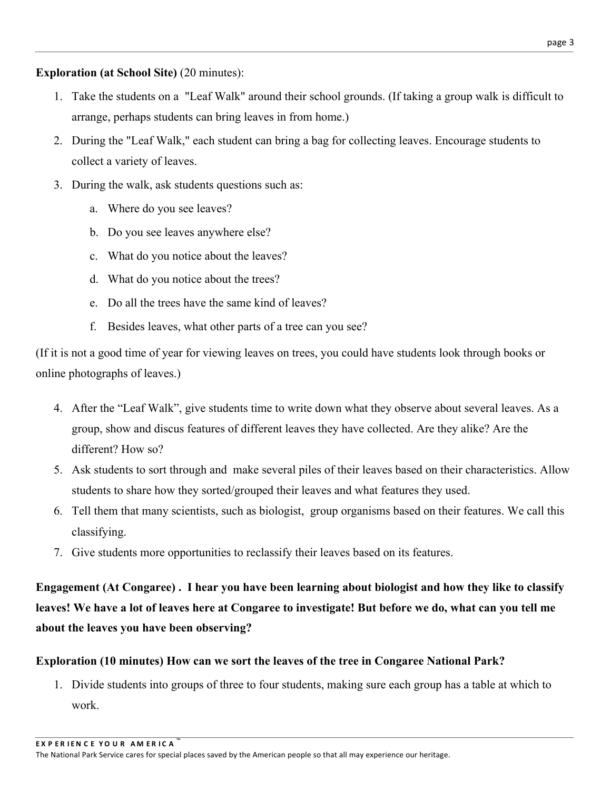# **Exploration (at School Site)** (20 minutes):

- 1. Take the students on a "Leaf Walk" around their school grounds. (If taking a group walk is difficult to arrange, perhaps students can bring leaves in from home.)
- 2. During the "Leaf Walk," each student can bring a bag for collecting leaves. Encourage students to collect a variety of leaves.
- 3. During the walk, ask students questions such as:
	- a. Where do you see leaves?
	- b. Do you see leaves anywhere else?
	- c. What do you notice about the leaves?
	- d. What do you notice about the trees?
	- e. Do all the trees have the same kind of leaves?
	- f. Besides leaves, what other parts of a tree can you see?

(If it is not a good time of year for viewing leaves on trees, you could have students look through books or online photographs of leaves.)

- 4. After the "Leaf Walk", give students time to write down what they observe about several leaves. As a group, show and discus features of different leaves they have collected. Are they alike? Are the different? How so?
- 5. Ask students to sort through and make several piles of their leaves based on their characteristics. Allow students to share how they sorted/grouped their leaves and what features they used.
- 6. Tell them that many scientists, such as biologist, group organisms based on their features. We call this classifying.
- 7. Give students more opportunities to reclassify their leaves based on its features.

**Engagement (At Congaree) . I hear you have been learning about biologist and how they like to classify leaves! We have a lot of leaves here at Congaree to investigate! But before we do, what can you tell me about the leaves you have been observing?** 

# **Exploration (10 minutes) How can we sort the leaves of the tree in Congaree National Park?**

1. Divide students into groups of three to four students, making sure each group has a table at which to work.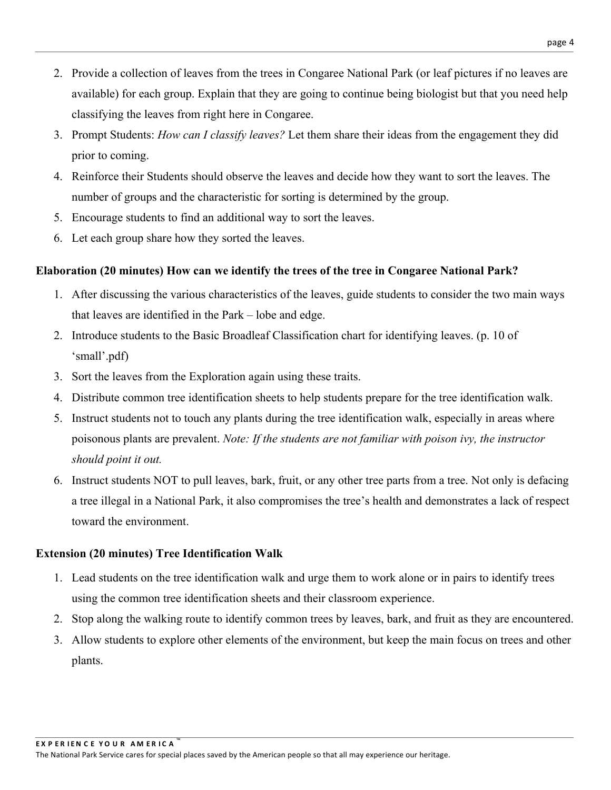- 2. Provide a collection of leaves from the trees in Congaree National Park (or leaf pictures if no leaves are available) for each group. Explain that they are going to continue being biologist but that you need help classifying the leaves from right here in Congaree.
- 3. Prompt Students: *How can I classify leaves?* Let them share their ideas from the engagement they did prior to coming.
- 4. Reinforce their Students should observe the leaves and decide how they want to sort the leaves. The number of groups and the characteristic for sorting is determined by the group.
- 5. Encourage students to find an additional way to sort the leaves.
- 6. Let each group share how they sorted the leaves.

# **Elaboration (20 minutes) How can we identify the trees of the tree in Congaree National Park?**

- 1. After discussing the various characteristics of the leaves, guide students to consider the two main ways that leaves are identified in the Park – lobe and edge.
- 2. Introduce students to the Basic Broadleaf Classification chart for identifying leaves. (p. 10 of 'small'.pdf)
- 3. Sort the leaves from the Exploration again using these traits.
- 4. Distribute common tree identification sheets to help students prepare for the tree identification walk.
- 5. Instruct students not to touch any plants during the tree identification walk, especially in areas where poisonous plants are prevalent. *Note: If the students are not familiar with poison ivy, the instructor should point it out.*
- 6. Instruct students NOT to pull leaves, bark, fruit, or any other tree parts from a tree. Not only is defacing a tree illegal in a National Park, it also compromises the tree's health and demonstrates a lack of respect toward the environment.

# **Extension (20 minutes) Tree Identification Walk**

- 1. Lead students on the tree identification walk and urge them to work alone or in pairs to identify trees using the common tree identification sheets and their classroom experience.
- 2. Stop along the walking route to identify common trees by leaves, bark, and fruit as they are encountered.
- 3. Allow students to explore other elements of the environment, but keep the main focus on trees and other plants.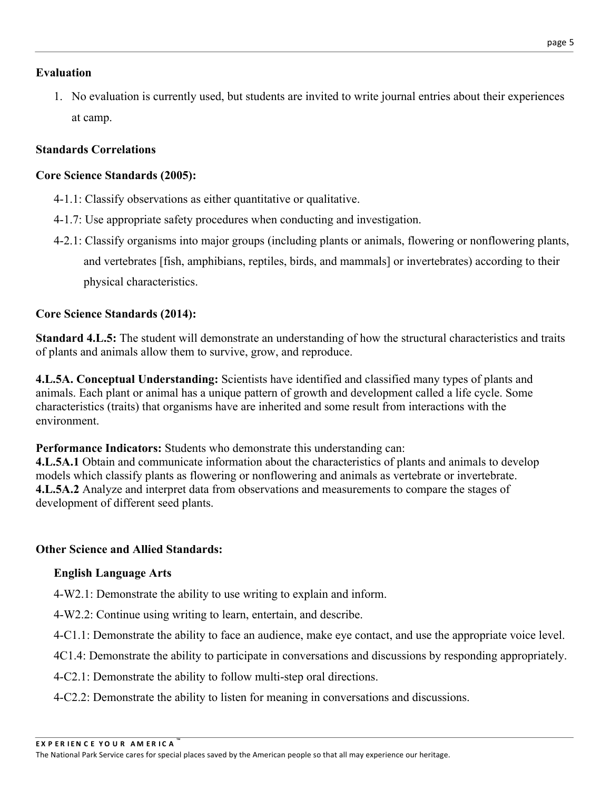# **Evaluation**

1. No evaluation is currently used, but students are invited to write journal entries about their experiences at camp.

# **Standards Correlations**

# **Core Science Standards (2005):**

- 4-1.1: Classify observations as either quantitative or qualitative.
- 4-1.7: Use appropriate safety procedures when conducting and investigation.
- 4-2.1: Classify organisms into major groups (including plants or animals, flowering or nonflowering plants, and vertebrates [fish, amphibians, reptiles, birds, and mammals] or invertebrates) according to their physical characteristics.

# **Core Science Standards (2014):**

 of plants and animals allow them to survive, grow, and reproduce. **Standard 4.L.5:** The student will demonstrate an understanding of how the structural characteristics and traits

**4.L.5A. Conceptual Understanding:** Scientists have identified and classified many types of plants and animals. Each plant or animal has a unique pattern of growth and development called a life cycle. Some characteristics (traits) that organisms have are inherited and some result from interactions with the environment.

**Performance Indicators:** Students who demonstrate this understanding can:

**4.L.5A.1** Obtain and communicate information about the characteristics of plants and animals to develop models which classify plants as flowering or nonflowering and animals as vertebrate or invertebrate. **4.L.5A.2** Analyze and interpret data from observations and measurements to compare the stages of development of different seed plants.

# **Other Science and Allied Standards:**

# **English Language Arts**

- 4-W2.1: Demonstrate the ability to use writing to explain and inform.
- 4-W2.2: Continue using writing to learn, entertain, and describe.
- 4-C1.1: Demonstrate the ability to face an audience, make eye contact, and use the appropriate voice level.
- 4C1.4: Demonstrate the ability to participate in conversations and discussions by responding appropriately.
- 4-C2.1: Demonstrate the ability to follow multi-step oral directions.
- 4-C2.2: Demonstrate the ability to listen for meaning in conversations and discussions.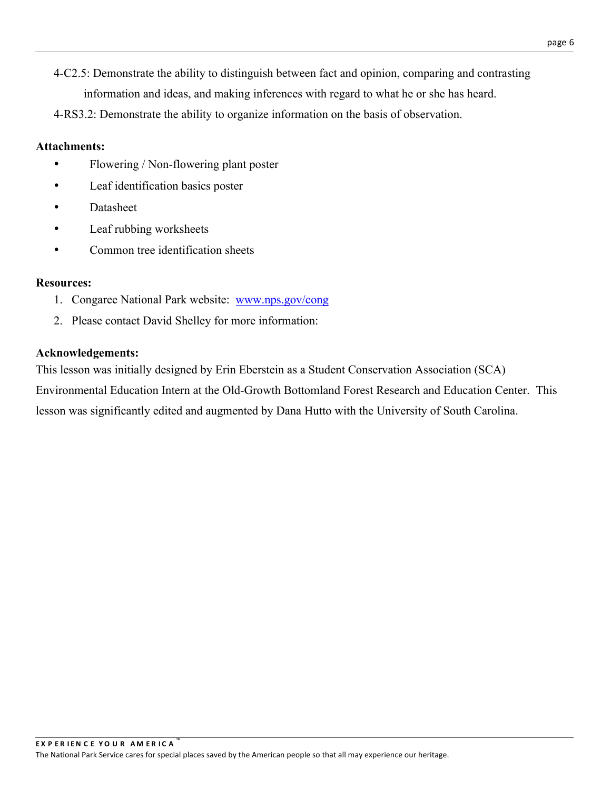4-C2.5: Demonstrate the ability to distinguish between fact and opinion, comparing and contrasting information and ideas, and making inferences with regard to what he or she has heard.

4-RS3.2: Demonstrate the ability to organize information on the basis of observation.

# **Attachments:**

- Flowering / Non-flowering plant poster
- Leaf identification basics poster
- Datasheet
- Leaf rubbing worksheets
- Common tree identification sheets

#### **Resources:**

- 1. Congaree National Park website: www.nps.gov/cong
- 2. Please contact David Shelley for more information:

# **Acknowledgements:**

This lesson was initially designed by Erin Eberstein as a Student Conservation Association (SCA) Environmental Education Intern at the Old-Growth Bottomland Forest Research and Education Center. This lesson was significantly edited and augmented by Dana Hutto with the University of South Carolina.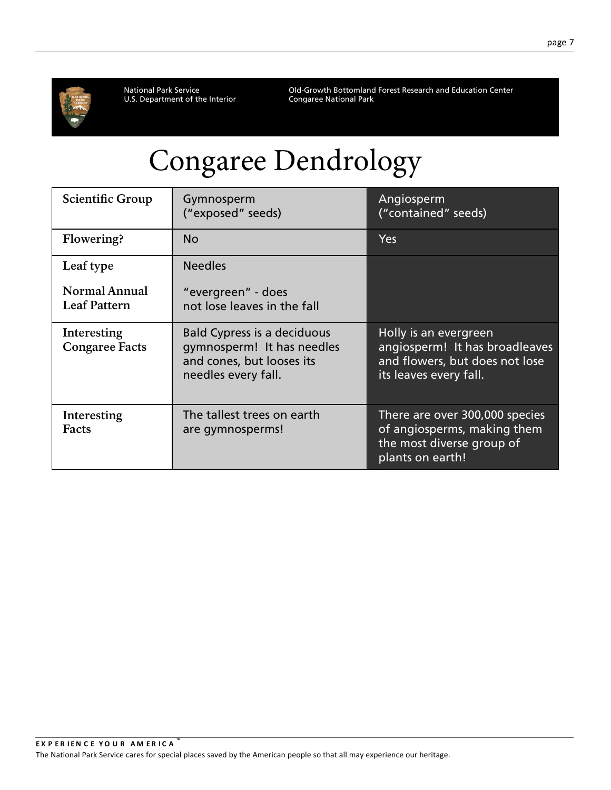

National Park Service<br>U.S. Department of the Interior

Old-Growth Bottomland Forest Research and Education Center<br>Congaree National Park

# Congaree Dendrology

| <b>Scientific Group</b>                     | Gymnosperm<br>("exposed" seeds)                                                                                      | Angiosperm<br>("contained" seeds)                                                                                   |  |
|---------------------------------------------|----------------------------------------------------------------------------------------------------------------------|---------------------------------------------------------------------------------------------------------------------|--|
| Flowering?                                  | <b>No</b>                                                                                                            | <b>Yes</b>                                                                                                          |  |
| Leaf type                                   | <b>Needles</b>                                                                                                       |                                                                                                                     |  |
| <b>Normal Annual</b><br><b>Leaf Pattern</b> | "evergreen" - does<br>not lose leaves in the fall                                                                    |                                                                                                                     |  |
| Interesting<br><b>Congaree Facts</b>        | <b>Bald Cypress is a deciduous</b><br>gymnosperm! It has needles<br>and cones, but looses its<br>needles every fall. | Holly is an evergreen<br>angiosperm! It has broadleaves<br>and flowers, but does not lose<br>its leaves every fall. |  |
| Interesting<br>Facts                        | The tallest trees on earth<br>are gymnosperms!                                                                       | There are over 300,000 species<br>of angiosperms, making them<br>the most diverse group of<br>plants on earth!      |  |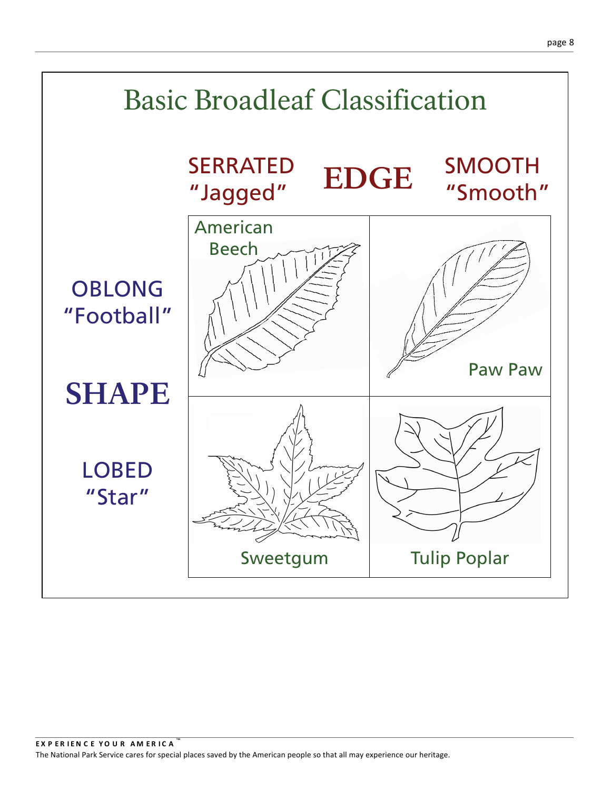